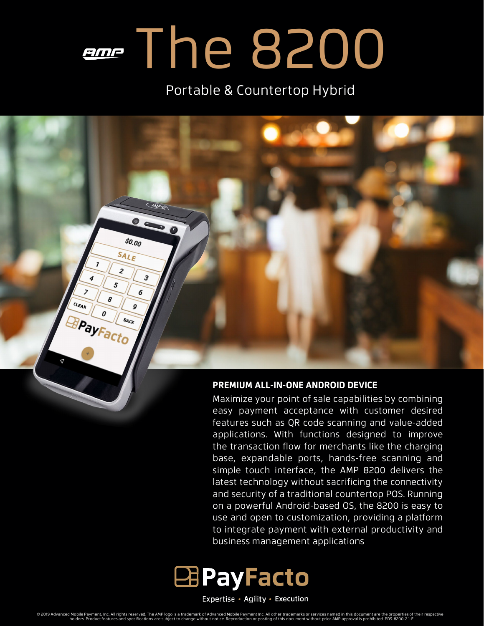# **EDGE The 8200**

Portable & Countertop Hybrid

## WR  $$0.00$ SALE  $\overline{c}$ 3 6 CLEAR Q PayFacto BACK

#### **PREMIUM ALL-IN-ONE ANDROID DEVICE**

Maximize your point of sale capabilities by combining easy payment acceptance with customer desired features such as QR code scanning and value-added applications. With functions designed to improve the transaction flow for merchants like the charging base, expandable ports, hands-free scanning and simple touch interface, the AMP 8200 delivers the latest technology without sacrificing the connectivity and security of a traditional countertop POS. Running on a powerful Android-based OS, the 8200 is easy to use and open to customization, providing a platform to integrate payment with external productivity and business management applications



Expertise · Agility · Execution

© 2019 Advanced Mobile Payment, Inc. All rights reserved. The AMP logo is a trademark of Advanced Mobile Payment Inc. All other trademarks or services named in this document are the properties of their respective<br>holders.